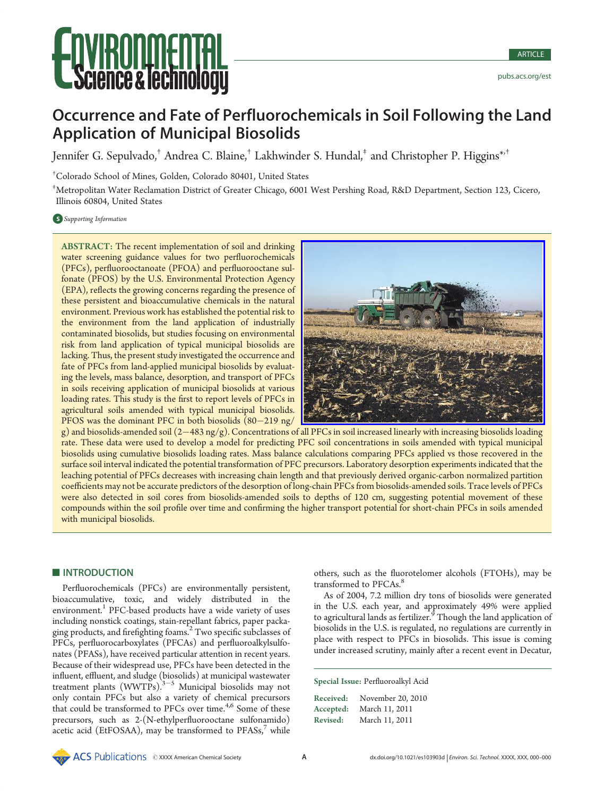# Occurrence and Fate of Perfluorochemicals in Soil Following the Land Application of Municipal Biosolids

Jennifer G. Sepulvado,<sup>†</sup> Andrea C. Blaine,<sup>†</sup> Lakhwinder S. Hundal,<sup>‡</sup> and Christopher P. Higgins<sup>\*,†</sup>

† Colorado School of Mines, Golden, Colorado 80401, United States

‡ Metropolitan Water Reclamation District of Greater Chicago, 6001 West Pershing Road, R&D Department, Section 123, Cicero, Illinois 60804, United States

**S** Supporting Information

ABSTRACT: The recent implementation of soil and drinking water screening guidance values for two perfluorochemicals (PFCs), perfluorooctanoate (PFOA) and perfluorooctane sulfonate (PFOS) by the U.S. Environmental Protection Agency (EPA), reflects the growing concerns regarding the presence of these persistent and bioaccumulative chemicals in the natural environment. Previous work has established the potential risk to the environment from the land application of industrially contaminated biosolids, but studies focusing on environmental risk from land application of typical municipal biosolids are lacking. Thus, the present study investigated the occurrence and fate of PFCs from land-applied municipal biosolids by evaluating the levels, mass balance, desorption, and transport of PFCs in soils receiving application of municipal biosolids at various loading rates. This study is the first to report levels of PFCs in agricultural soils amended with typical municipal biosolids. PFOS was the dominant PFC in both biosolids  $(80-219 \text{ ng}/$ 



g) and biosolids-amended soil  $(2-483$  ng/g). Concentrations of all PFCs in soil increased linearly with increasing biosolids loading rate. These data were used to develop a model for predicting PFC soil concentrations in soils amended with typical municipal biosolids using cumulative biosolids loading rates. Mass balance calculations comparing PFCs applied vs those recovered in the surface soil interval indicated the potential transformation of PFC precursors. Laboratory desorption experiments indicated that the leaching potential of PFCs decreases with increasing chain length and that previously derived organic-carbon normalized partition coefficients may not be accurate predictors of the desorption of long-chain PFCs from biosolids-amended soils. Trace levels of PFCs were also detected in soil cores from biosolids-amended soils to depths of 120 cm, suggesting potential movement of these compounds within the soil profile over time and confirming the higher transport potential for short-chain PFCs in soils amended with municipal biosolids.

# **INTRODUCTION**

Perfluorochemicals (PFCs) are environmentally persistent, bioaccumulative, toxic, and widely distributed in the environment.<sup>1</sup> PFC-based products have a wide variety of uses including nonstick coatings, stain-repellant fabrics, paper packaging products, and firefighting foams.<sup>2</sup> Two specific subclasses of PFCs, perfluorocarboxylates (PFCAs) and perfluoroalkylsulfonates (PFASs), have received particular attention in recent years. Because of their widespread use, PFCs have been detected in the influent, effluent, and sludge (biosolids) at municipal wastewater treatment plants  $(WWTPs).^{3-5}$  Municipal biosolids may not only contain PFCs but also a variety of chemical precursors that could be transformed to PFCs over time.<sup>4,6</sup> Some of these precursors, such as 2-(N-ethylperfluorooctane sulfonamido) acetic acid (EtFOSAA), may be transformed to  $PFASs$ ,<sup>7</sup> while

others, such as the fluorotelomer alcohols (FTOHs), may be transformed to PFCAs.<sup>8</sup>

As of 2004, 7.2 million dry tons of biosolids were generated in the U.S. each year, and approximately 49% were applied to agricultural lands as fertilizer.<sup>9</sup> Though the land application of biosolids in the U.S. is regulated, no regulations are currently in place with respect to PFCs in biosolids. This issue is coming under increased scrutiny, mainly after a recent event in Decatur,

Special Issue: Perfluoroalkyl Acid

| Received: | November 20, 2010 |
|-----------|-------------------|
| Accepted: | March 11, 2011    |
| Revised:  | March 11, 2011    |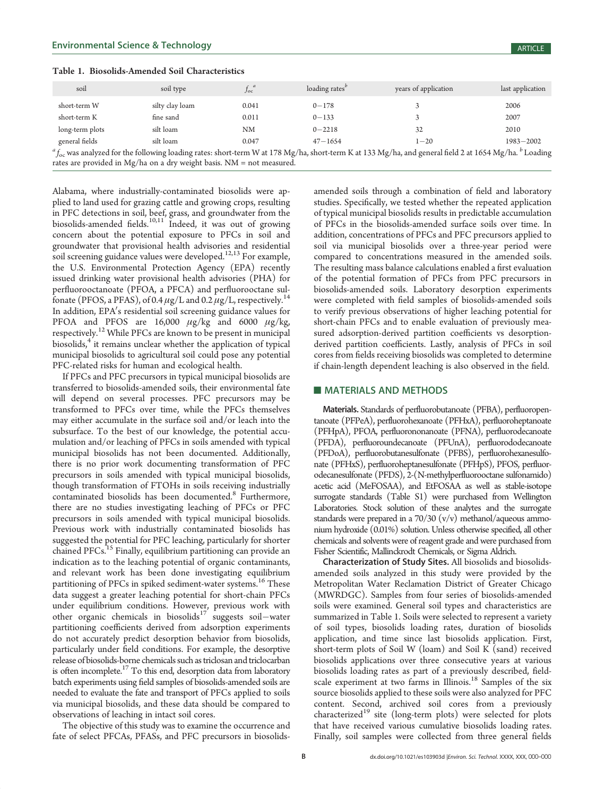| soil                                                                       | soil type       | $f_{\rm oc}^{\ a}$ | loading rates <sup>b</sup> | years of application                                                                                                                                                      | last application |
|----------------------------------------------------------------------------|-----------------|--------------------|----------------------------|---------------------------------------------------------------------------------------------------------------------------------------------------------------------------|------------------|
| short-term W                                                               | silty clay loam | 0.041              | $0 - 178$                  |                                                                                                                                                                           | 2006             |
| short-term K                                                               | fine sand       | 0.011              | $0 - 133$                  |                                                                                                                                                                           | 2007             |
| long-term plots                                                            | silt loam       | NΜ                 | $0 - 2218$                 | 32                                                                                                                                                                        | 2010             |
| general fields                                                             | silt loam       | 0.047              | $47 - 1654$                | $1 - 20$                                                                                                                                                                  | $1983 - 2002$    |
|                                                                            |                 |                    |                            | ${}^4f_{\text{oc}}$ was analyzed for the following loading rates: short-term W at 178 Mg/ha, short-term K at 133 Mg/ha, and general field 2 at 1654 Mg/ha. ${}^b$ Loading |                  |
| rates are provided in $Mg/ha$ on a dry weight basis. $NM = not measured$ . |                 |                    |                            |                                                                                                                                                                           |                  |

Table 1. Biosolids-Amended Soil Characteristics

Alabama, where industrially-contaminated biosolids were applied to land used for grazing cattle and growing crops, resulting in PFC detections in soil, beef, grass, and groundwater from the biosolids-amended fields.<sup>10,11</sup> Indeed, it was out of growing concern about the potential exposure to PFCs in soil and groundwater that provisional health advisories and residential soil screening guidance values were developed.<sup>12,13</sup> For example, the U.S. Environmental Protection Agency (EPA) recently issued drinking water provisional health advisories (PHA) for perfluorooctanoate (PFOA, a PFCA) and perfluorooctane sulfonate (PFOS, a PFAS), of 0.4  $\mu$ g/L and 0.2  $\mu$ g/L, respectively.<sup>14</sup> In addition, EPA's residential soil screening guidance values for PFOA and PFOS are 16,000  $\mu$ g/kg and 6000  $\mu$ g/kg, respectively.<sup>12</sup> While PFCs are known to be present in municipal biosolids,<sup>4</sup> it remains unclear whether the application of typical municipal biosolids to agricultural soil could pose any potential PFC-related risks for human and ecological health.

If PFCs and PFC precursors in typical municipal biosolids are transferred to biosolids-amended soils, their environmental fate will depend on several processes. PFC precursors may be transformed to PFCs over time, while the PFCs themselves may either accumulate in the surface soil and/or leach into the subsurface. To the best of our knowledge, the potential accumulation and/or leaching of PFCs in soils amended with typical municipal biosolids has not been documented. Additionally, there is no prior work documenting transformation of PFC precursors in soils amended with typical municipal biosolids, though transformation of FTOHs in soils receiving industrially contaminated biosolids has been documented.<sup>8</sup> Furthermore, there are no studies investigating leaching of PFCs or PFC precursors in soils amended with typical municipal biosolids. Previous work with industrially contaminated biosolids has suggested the potential for PFC leaching, particularly for shorter chained PFCs.<sup>15</sup> Finally, equilibrium partitioning can provide an indication as to the leaching potential of organic contaminants, and relevant work has been done investigating equilibrium partitioning of PFCs in spiked sediment-water systems.<sup>16</sup> These data suggest a greater leaching potential for short-chain PFCs under equilibrium conditions. However, previous work with other organic chemicals in biosolids<sup>17</sup> suggests soil-water partitioning coefficients derived from adsorption experiments do not accurately predict desorption behavior from biosolids, particularly under field conditions. For example, the desorptive release of biosolids-borne chemicals such as triclosan and triclocarban is often incomplete. $^{17}$  To this end, desorption data from laboratory batch experiments using field samples of biosolids-amended soils are needed to evaluate the fate and transport of PFCs applied to soils via municipal biosolids, and these data should be compared to observations of leaching in intact soil cores.

The objective of this study was to examine the occurrence and fate of select PFCAs, PFASs, and PFC precursors in biosolidsamended soils through a combination of field and laboratory studies. Specifically, we tested whether the repeated application of typical municipal biosolids results in predictable accumulation of PFCs in the biosolids-amended surface soils over time. In addition, concentrations of PFCs and PFC precursors applied to soil via municipal biosolids over a three-year period were compared to concentrations measured in the amended soils. The resulting mass balance calculations enabled a first evaluation of the potential formation of PFCs from PFC precursors in biosolids-amended soils. Laboratory desorption experiments were completed with field samples of biosolids-amended soils to verify previous observations of higher leaching potential for short-chain PFCs and to enable evaluation of previously measured adsorption-derived partition coefficients vs desorptionderived partition coefficients. Lastly, analysis of PFCs in soil cores from fields receiving biosolids was completed to determine if chain-length dependent leaching is also observed in the field.

# **MATERIALS AND METHODS**

Materials. Standards of perfluorobutanoate (PFBA), perfluoropentanoate (PFPeA), perfluorohexanoate (PFHxA), perfluoroheptanoate (PFHpA), PFOA, perfluorononanoate (PFNA), perfluorodecanoate (PFDA), perfluoroundecanoate (PFUnA), perfluorododecanoate (PFDoA), perfluorobutanesulfonate (PFBS), perfluorohexanesulfonate (PFHxS), perfluoroheptanesulfonate (PFHpS), PFOS, perfluorodecanesulfonate (PFDS), 2-(N-methylperfluorooctane sulfonamido) acetic acid (MeFOSAA), and EtFOSAA as well as stable-isotope surrogate standards (Table S1) were purchased from Wellington Laboratories. Stock solution of these analytes and the surrogate standards were prepared in a 70/30 (v/v) methanol/aqueous ammonium hydroxide (0.01%) solution. Unless otherwise specified, all other chemicals and solvents were of reagent grade and were purchased from Fisher Scientific, Mallinckrodt Chemicals, or Sigma Aldrich.

Characterization of Study Sites. All biosolids and biosolidsamended soils analyzed in this study were provided by the Metropolitan Water Reclamation District of Greater Chicago (MWRDGC). Samples from four series of biosolids-amended soils were examined. General soil types and characteristics are summarized in Table 1. Soils were selected to represent a variety of soil types, biosolids loading rates, duration of biosolids application, and time since last biosolids application. First, short-term plots of Soil W (loam) and Soil K (sand) received biosolids applications over three consecutive years at various biosolids loading rates as part of a previously described, fieldscale experiment at two farms in Illinois.<sup>18</sup> Samples of the six source biosolids applied to these soils were also analyzed for PFC content. Second, archived soil cores from a previously characterized<sup>19</sup> site (long-term plots) were selected for plots that have received various cumulative biosolids loading rates. Finally, soil samples were collected from three general fields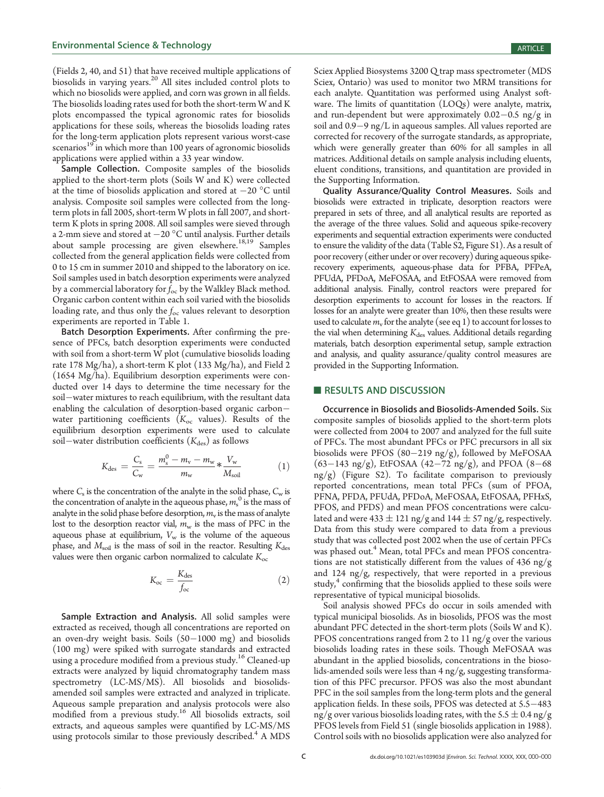(Fields 2, 40, and 51) that have received multiple applications of biosolids in varying years.<sup>20</sup> All sites included control plots to which no biosolids were applied, and corn was grown in all fields. The biosolids loading rates used for both the short-term W and K plots encompassed the typical agronomic rates for biosolids applications for these soils, whereas the biosolids loading rates for the long-term application plots represent various worst-case scenarios<sup>19</sup> in which more than 100 years of agronomic biosolids applications were applied within a 33 year window.

Sample Collection. Composite samples of the biosolids applied to the short-term plots (Soils W and K) were collected at the time of biosolids application and stored at  $-20$  °C until analysis. Composite soil samples were collected from the longterm plots in fall 2005, short-term W plots in fall 2007, and shortterm K plots in spring 2008. All soil samples were sieved through a 2-mm sieve and stored at  $-20$  °C until analysis. Further details about sample processing are given elsewhere.<sup>18,19</sup> Samples collected from the general application fields were collected from 0 to 15 cm in summer 2010 and shipped to the laboratory on ice. Soil samples used in batch desorption experiments were analyzed by a commercial laboratory for  $f_{\rm oc}$  by the Walkley Black method. Organic carbon content within each soil varied with the biosolids loading rate, and thus only the  $f_{\text{oc}}$  values relevant to desorption experiments are reported in Table 1.

Batch Desorption Experiments. After confirming the presence of PFCs, batch desorption experiments were conducted with soil from a short-term W plot (cumulative biosolids loading rate 178 Mg/ha), a short-term K plot (133 Mg/ha), and Field 2 (1654 Mg/ha). Equilibrium desorption experiments were conducted over 14 days to determine the time necessary for the soil-water mixtures to reach equilibrium, with the resultant data enabling the calculation of desorption-based organic carbon water partitioning coefficients ( $K_{oc}$  values). Results of the equilibrium desorption experiments were used to calculate soil—water distribution coefficients  $(K_{des})$  as follows

$$
K_{\text{des}} = \frac{C_{\text{s}}}{C_{\text{w}}} = \frac{m_{\text{s}}^0 - m_{\text{v}} - m_{\text{w}}}{m_{\text{w}}} * \frac{V_{\text{w}}}{M_{\text{solid}}}
$$
(1)

where  $C_s$  is the concentration of the analyte in the solid phase,  $C_w$  is the concentration of analyte in the aqueous phase,  $m_s^0$  is the mass of analyte in the solid phase before desorption,  $m_v$  is the mass of analyte lost to the desorption reactor vial,  $m_w$  is the mass of PFC in the aqueous phase at equilibrium,  $V_w$  is the volume of the aqueous phase, and  $M_{\text{sol}}$  is the mass of soil in the reactor. Resulting  $K_{\text{des}}$ values were then organic carbon normalized to calculate  $K_{\rm oc}$ 

$$
K_{\rm oc} = \frac{K_{\rm des}}{f_{\rm oc}}\tag{2}
$$

Sample Extraction and Analysis. All solid samples were extracted as received, though all concentrations are reported on an oven-dry weight basis. Soils  $(50-1000 \text{ mg})$  and biosolids (100 mg) were spiked with surrogate standards and extracted using a procedure modified from a previous study.  $^{16}$  Cleaned-up extracts were analyzed by liquid chromatography tandem mass spectrometry (LC-MS/MS). All biosolids and biosolidsamended soil samples were extracted and analyzed in triplicate. Aqueous sample preparation and analysis protocols were also modified from a previous study.<sup>16</sup> All biosolids extracts, soil extracts, and aqueous samples were quantified by LC-MS/MS using protocols similar to those previously described.<sup>4</sup> A MDS

Sciex Applied Biosystems 3200 Q trap mass spectrometer (MDS Sciex, Ontario) was used to monitor two MRM transitions for each analyte. Quantitation was performed using Analyst software. The limits of quantitation (LOQs) were analyte, matrix, and run-dependent but were approximately  $0.02-0.5$  ng/g in soil and  $0.9 - 9$  ng/L in aqueous samples. All values reported are corrected for recovery of the surrogate standards, as appropriate, which were generally greater than 60% for all samples in all matrices. Additional details on sample analysis including eluents, eluent conditions, transitions, and quantitation are provided in the Supporting Information.

Quality Assurance/Quality Control Measures. Soils and biosolids were extracted in triplicate, desorption reactors were prepared in sets of three, and all analytical results are reported as the average of the three values. Solid and aqueous spike-recovery experiments and sequential extraction experiments were conducted to ensure the validity of the data (Table S2, Figure S1). As a result of poor recovery (either under or over recovery) during aqueous spikerecovery experiments, aqueous-phase data for PFBA, PFPeA, PFUdA, PFDoA, MeFOSAA, and EtFOSAA were removed from additional analysis. Finally, control reactors were prepared for desorption experiments to account for losses in the reactors. If losses for an analyte were greater than 10%, then these results were used to calculate  $m_v$  for the analyte (see eq 1) to account for losses to the vial when determining  $K_{\text{des}}$  values. Additional details regarding materials, batch desorption experimental setup, sample extraction and analysis, and quality assurance/quality control measures are provided in the Supporting Information.

# RESULTS AND DISCUSSION

Occurrence in Biosolids and Biosolids-Amended Soils. Six composite samples of biosolids applied to the short-term plots were collected from 2004 to 2007 and analyzed for the full suite of PFCs. The most abundant PFCs or PFC precursors in all six biosolids were PFOS  $(80-219 \text{ ng/g})$ , followed by MeFOSAA  $(63-143 \text{ ng/g})$ , EtFOSAA  $(42-72 \text{ ng/g})$ , and PFOA  $(8-68)$  $ng/g$ ) (Figure S2). To facilitate comparison to previously reported concentrations, mean total PFCs (sum of PFOA, PFNA, PFDA, PFUdA, PFDoA, MeFOSAA, EtFOSAA, PFHxS, PFOS, and PFDS) and mean PFOS concentrations were calculated and were 433  $\pm$  121 ng/g and 144  $\pm$  57 ng/g, respectively. Data from this study were compared to data from a previous study that was collected post 2002 when the use of certain PFCs was phased out.<sup>4</sup> Mean, total PFCs and mean PFOS concentrations are not statistically different from the values of 436 ng/g and  $124 \text{ ng/g}$ , respectively, that were reported in a previous study, $4$  confirming that the biosolids applied to these soils were representative of typical municipal biosolids.

Soil analysis showed PFCs do occur in soils amended with typical municipal biosolids. As in biosolids, PFOS was the most abundant PFC detected in the short-term plots (Soils W and K). PFOS concentrations ranged from 2 to  $11 \text{ ng/g}$  over the various biosolids loading rates in these soils. Though MeFOSAA was abundant in the applied biosolids, concentrations in the biosolids-amended soils were less than 4 ng/g, suggesting transformation of this PFC precursor. PFOS was also the most abundant PFC in the soil samples from the long-term plots and the general application fields. In these soils, PFOS was detected at  $5.5-483$ ng/g over various biosolids loading rates, with the 5.5  $\pm$  0.4 ng/g PFOS levels from Field 51 (single biosolids application in 1988). Control soils with no biosolids application were also analyzed for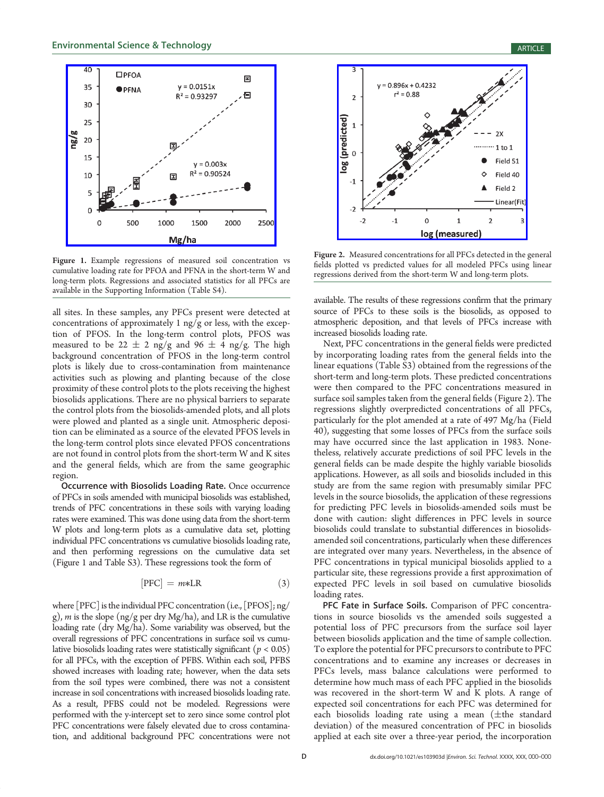

Figure 1. Example regressions of measured soil concentration vs cumulative loading rate for PFOA and PFNA in the short-term W and long-term plots. Regressions and associated statistics for all PFCs are available in the Supporting Information (Table S4).

all sites. In these samples, any PFCs present were detected at concentrations of approximately 1 ng/g or less, with the exception of PFOS. In the long-term control plots, PFOS was measured to be 22  $\pm$  2 ng/g and 96  $\pm$  4 ng/g. The high background concentration of PFOS in the long-term control plots is likely due to cross-contamination from maintenance activities such as plowing and planting because of the close proximity of these control plots to the plots receiving the highest biosolids applications. There are no physical barriers to separate the control plots from the biosolids-amended plots, and all plots were plowed and planted as a single unit. Atmospheric deposition can be eliminated as a source of the elevated PFOS levels in the long-term control plots since elevated PFOS concentrations are not found in control plots from the short-term W and K sites and the general fields, which are from the same geographic region.

Occurrence with Biosolids Loading Rate. Once occurrence of PFCs in soils amended with municipal biosolids was established, trends of PFC concentrations in these soils with varying loading rates were examined. This was done using data from the short-term W plots and long-term plots as a cumulative data set, plotting individual PFC concentrations vs cumulative biosolids loading rate, and then performing regressions on the cumulative data set (Figure 1 and Table S3). These regressions took the form of

$$
[PFC] = m*LR \tag{3}
$$

where [PFC] is the individual PFC concentration (i.e., [PFOS]; ng/ g), m is the slope (ng/g per dry Mg/ha), and LR is the cumulative loading rate (dry Mg/ha). Some variability was observed, but the overall regressions of PFC concentrations in surface soil vs cumulative biosolids loading rates were statistically significant ( $p < 0.05$ ) for all PFCs, with the exception of PFBS. Within each soil, PFBS showed increases with loading rate; however, when the data sets from the soil types were combined, there was not a consistent increase in soil concentrations with increased biosolids loading rate. As a result, PFBS could not be modeled. Regressions were performed with the y-intercept set to zero since some control plot PFC concentrations were falsely elevated due to cross contamination, and additional background PFC concentrations were not



Figure 2. Measured concentrations for all PFCs detected in the general fields plotted vs predicted values for all modeled PFCs using linear regressions derived from the short-term W and long-term plots.

available. The results of these regressions confirm that the primary source of PFCs to these soils is the biosolids, as opposed to atmospheric deposition, and that levels of PFCs increase with increased biosolids loading rate.

Next, PFC concentrations in the general fields were predicted by incorporating loading rates from the general fields into the linear equations (Table S3) obtained from the regressions of the short-term and long-term plots. These predicted concentrations were then compared to the PFC concentrations measured in surface soil samples taken from the general fields (Figure 2). The regressions slightly overpredicted concentrations of all PFCs, particularly for the plot amended at a rate of 497 Mg/ha (Field 40), suggesting that some losses of PFCs from the surface soils may have occurred since the last application in 1983. Nonetheless, relatively accurate predictions of soil PFC levels in the general fields can be made despite the highly variable biosolids applications. However, as all soils and biosolids included in this study are from the same region with presumably similar PFC levels in the source biosolids, the application of these regressions for predicting PFC levels in biosolids-amended soils must be done with caution: slight differences in PFC levels in source biosolids could translate to substantial differences in biosolidsamended soil concentrations, particularly when these differences are integrated over many years. Nevertheless, in the absence of PFC concentrations in typical municipal biosolids applied to a particular site, these regressions provide a first approximation of expected PFC levels in soil based on cumulative biosolids loading rates.

PFC Fate in Surface Soils. Comparison of PFC concentrations in source biosolids vs the amended soils suggested a potential loss of PFC precursors from the surface soil layer between biosolids application and the time of sample collection. To explore the potential for PFC precursors to contribute to PFC concentrations and to examine any increases or decreases in PFCs levels, mass balance calculations were performed to determine how much mass of each PFC applied in the biosolids was recovered in the short-term W and K plots. A range of expected soil concentrations for each PFC was determined for each biosolids loading rate using a mean  $(\pm$ the standard deviation) of the measured concentration of PFC in biosolids applied at each site over a three-year period, the incorporation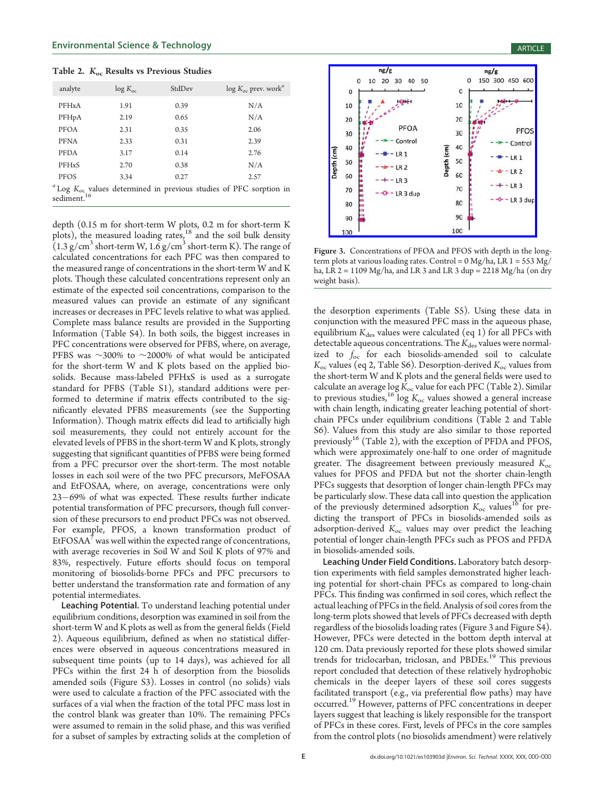| Table 2. $K_{oc}$ Results vs Previous Studies |  |  |  |
|-----------------------------------------------|--|--|--|
|-----------------------------------------------|--|--|--|

| analyte                 | $\log K_{\rm oc}$ | StdDev | $\log K_{\rm oc}$ prev. work <sup>a</sup>                                             |
|-------------------------|-------------------|--------|---------------------------------------------------------------------------------------|
| <b>PFH<sub>x</sub>A</b> | 1.91              | 0.39   | N/A                                                                                   |
| PFH <sub>p</sub> A      | 2.19              | 0.65   | N/A                                                                                   |
| <b>PFOA</b>             | 2.31              | 0.35   | 2.06                                                                                  |
| <b>PFNA</b>             | 2.33              | 0.31   | 2.39                                                                                  |
| <b>PFDA</b>             | 3.17              | 0.14   | 2.76                                                                                  |
| <b>PFHxS</b>            | 2.70              | 0.38   | N/A                                                                                   |
| <b>PFOS</b>             | 3.34              | 0.27   | 2.57                                                                                  |
| sediment. <sup>16</sup> |                   |        | $\alpha$ Log $K_{\text{oc}}$ values determined in previous studies of PFC sorption in |

depth (0.15 m for short-term W plots, 0.2 m for short-term K plots), the measured loading rates, $18$  and the soil bulk density (1.3 g/cm<sup>3</sup> short-term W, 1.6 g/cm<sup>3</sup> short-term K). The range of calculated concentrations for each PFC was then compared to the measured range of concentrations in the short-term W and K plots. Though these calculated concentrations represent only an estimate of the expected soil concentrations, comparison to the measured values can provide an estimate of any significant increases or decreases in PFC levels relative to what was applied. Complete mass balance results are provided in the Supporting Information (Table S4). In both soils, the biggest increases in PFC concentrations were observed for PFBS, where, on average, PFBS was ∼300% to ∼2000% of what would be anticipated for the short-term W and K plots based on the applied biosolids. Because mass-labeled PFHxS is used as a surrogate standard for PFBS (Table S1), standard additions were performed to determine if matrix effects contributed to the significantly elevated PFBS measurements (see the Supporting Information). Though matrix effects did lead to artificially high soil measurements, they could not entirely account for the elevated levels of PFBS in the short-term W and K plots, strongly suggesting that significant quantities of PFBS were being formed from a PFC precursor over the short-term. The most notable losses in each soil were of the two PFC precursors, MeFOSAA and EtFOSAA, where, on average, concentrations were only  $23-69%$  of what was expected. These results further indicate potential transformation of PFC precursors, though full conversion of these precursors to end product PFCs was not observed. For example, PFOS, a known transformation product of EtFOSAA<sup>'</sup> was well within the expected range of concentrations, with average recoveries in Soil W and Soil K plots of 97% and 83%, respectively. Future efforts should focus on temporal monitoring of biosolids-borne PFCs and PFC precursors to better understand the transformation rate and formation of any potential intermediates.

Leaching Potential. To understand leaching potential under equilibrium conditions, desorption was examined in soil from the short-term W and K plots as well as from the general fields (Field 2). Aqueous equilibrium, defined as when no statistical differences were observed in aqueous concentrations measured in subsequent time points (up to 14 days), was achieved for all PFCs within the first 24 h of desorption from the biosolids amended soils (Figure S3). Losses in control (no solids) vials were used to calculate a fraction of the PFC associated with the surfaces of a vial when the fraction of the total PFC mass lost in the control blank was greater than 10%. The remaining PFCs were assumed to remain in the solid phase, and this was verified for a subset of samples by extracting solids at the completion of





Figure 3. Concentrations of PFOA and PFOS with depth in the longterm plots at various loading rates. Control = 0 Mg/ha, LR 1 = 553 Mg/ ha, LR 2 = 1109 Mg/ha, and LR 3 and LR 3 dup = 2218 Mg/ha (on dry weight basis).

the desorption experiments (Table S5). Using these data in conjunction with the measured PFC mass in the aqueous phase, equilibrium  $K_{\text{des}}$  values were calculated (eq 1) for all PFCs with detectable aqueous concentrations. The  $K_{\rm des}$  values were normalized to  $f_{\text{oc}}$  for each biosolids-amended soil to calculate  $K_{\rm oc}$  values (eq 2, Table S6). Desorption-derived  $K_{\rm oc}$  values from the short-term W and K plots and the general fields were used to calculate an average log  $K_{oc}$  value for each PFC (Table 2). Similar to previous studies,<sup>16</sup> log  $K_{oc}$  values showed a general increase with chain length, indicating greater leaching potential of shortchain PFCs under equilibrium conditions (Table 2 and Table S6). Values from this study are also similar to those reported previously<sup>16</sup> (Table 2), with the exception of PFDA and PFOS, which were approximately one-half to one order of magnitude greater. The disagreement between previously measured  $K_{\rm oc}$ values for PFOS and PFDA but not the shorter chain-length PFCs suggests that desorption of longer chain-length PFCs may be particularly slow. These data call into question the application of the previously determined adsorption  $K_{\text{oc}}$  values<sup>16</sup> for predicting the transport of PFCs in biosolids-amended soils as adsorption-derived  $K_{oc}$  values may over predict the leaching potential of longer chain-length PFCs such as PFOS and PFDA in biosolids-amended soils.

Leaching Under Field Conditions. Laboratory batch desorption experiments with field samples demonstrated higher leaching potential for short-chain PFCs as compared to long-chain PFCs. This finding was confirmed in soil cores, which reflect the actual leaching of PFCs in the field. Analysis of soil cores from the long-term plots showed that levels of PFCs decreased with depth regardless of the biosolids loading rates (Figure 3 and Figure S4). However, PFCs were detected in the bottom depth interval at 120 cm. Data previously reported for these plots showed similar trends for triclocarban, triclosan, and PBDEs.<sup>19</sup> This previous report concluded that detection of these relatively hydrophobic chemicals in the deeper layers of these soil cores suggests facilitated transport (e.g., via preferential flow paths) may have occurred.<sup>19</sup> However, patterns of PFC concentrations in deeper layers suggest that leaching is likely responsible for the transport of PFCs in these cores. First, levels of PFCs in the core samples from the control plots (no biosolids amendment) were relatively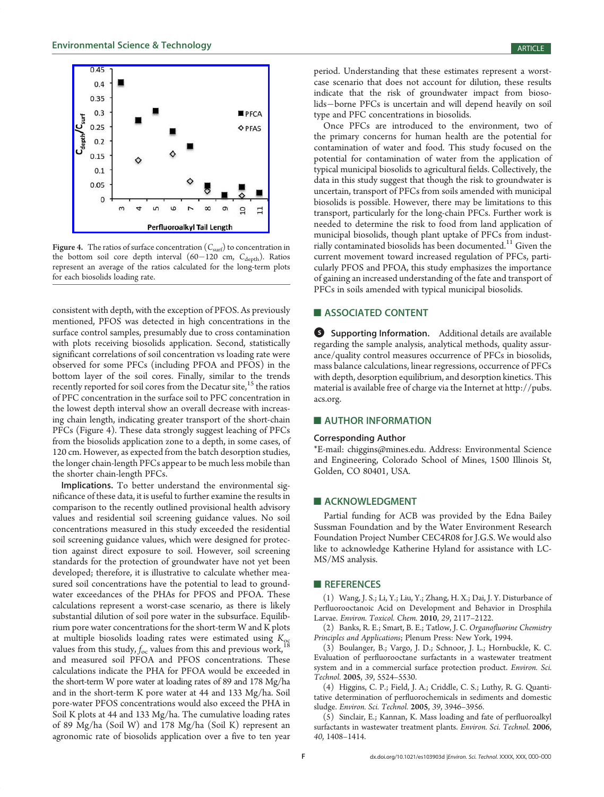

Figure 4. The ratios of surface concentration  $(C_{\text{surf}})$  to concentration in the bottom soil core depth interval  $(60-120 \text{ cm}, C_{\text{depth}})$ . Ratios represent an average of the ratios calculated for the long-term plots for each biosolids loading rate.

consistent with depth, with the exception of PFOS. As previously mentioned, PFOS was detected in high concentrations in the surface control samples, presumably due to cross contamination with plots receiving biosolids application. Second, statistically significant correlations of soil concentration vs loading rate were observed for some PFCs (including PFOA and PFOS) in the bottom layer of the soil cores. Finally, similar to the trends recently reported for soil cores from the Decatur site,  $^{15}$  the ratios of PFC concentration in the surface soil to PFC concentration in the lowest depth interval show an overall decrease with increasing chain length, indicating greater transport of the short-chain PFCs (Figure 4). These data strongly suggest leaching of PFCs from the biosolids application zone to a depth, in some cases, of 120 cm. However, as expected from the batch desorption studies, the longer chain-length PFCs appear to be much less mobile than the shorter chain-length PFCs.

Implications. To better understand the environmental significance of these data, it is useful to further examine the results in comparison to the recently outlined provisional health advisory values and residential soil screening guidance values. No soil concentrations measured in this study exceeded the residential soil screening guidance values, which were designed for protection against direct exposure to soil. However, soil screening standards for the protection of groundwater have not yet been developed; therefore, it is illustrative to calculate whether measured soil concentrations have the potential to lead to groundwater exceedances of the PHAs for PFOS and PFOA. These calculations represent a worst-case scenario, as there is likely substantial dilution of soil pore water in the subsurface. Equilibrium pore water concentrations for the short-term W and K plots at multiple biosolids loading rates were estimated using  $K_{\text{og}}$ values from this study,  $f_{\text{oc}}$  values from this and previous work, and measured soil PFOA and PFOS concentrations. These calculations indicate the PHA for PFOA would be exceeded in the short-term W pore water at loading rates of 89 and 178 Mg/ha and in the short-term K pore water at 44 and 133 Mg/ha. Soil pore-water PFOS concentrations would also exceed the PHA in Soil K plots at 44 and 133 Mg/ha. The cumulative loading rates of 89 Mg/ha (Soil W) and 178 Mg/ha (Soil K) represent an agronomic rate of biosolids application over a five to ten year

period. Understanding that these estimates represent a worstcase scenario that does not account for dilution, these results indicate that the risk of groundwater impact from biosolids-borne PFCs is uncertain and will depend heavily on soil type and PFC concentrations in biosolids.

Once PFCs are introduced to the environment, two of the primary concerns for human health are the potential for contamination of water and food. This study focused on the potential for contamination of water from the application of typical municipal biosolids to agricultural fields. Collectively, the data in this study suggest that though the risk to groundwater is uncertain, transport of PFCs from soils amended with municipal biosolids is possible. However, there may be limitations to this transport, particularly for the long-chain PFCs. Further work is needed to determine the risk to food from land application of municipal biosolids, though plant uptake of PFCs from industrially contaminated biosolids has been documented.<sup>11</sup> Given the current movement toward increased regulation of PFCs, particularly PFOS and PFOA, this study emphasizes the importance of gaining an increased understanding of the fate and transport of PFCs in soils amended with typical municipal biosolids.

# **ASSOCIATED CONTENT**

**6** Supporting Information. Additional details are available regarding the sample analysis, analytical methods, quality assurance/quality control measures occurrence of PFCs in biosolids, mass balance calculations, linear regressions, occurrence of PFCs with depth, desorption equilibrium, and desorption kinetics. This material is available free of charge via the Internet at http://pubs. acs.org.

## **NUTHOR INFORMATION**

## Corresponding Author

\*E-mail: chiggins@mines.edu. Address: Environmental Science and Engineering, Colorado School of Mines, 1500 Illinois St, Golden, CO 80401, USA.

# **ACKNOWLEDGMENT**

Partial funding for ACB was provided by the Edna Bailey Sussman Foundation and by the Water Environment Research Foundation Project Number CEC4R08 for J.G.S. We would also like to acknowledge Katherine Hyland for assistance with LC-MS/MS analysis.

#### **REFERENCES**

(1) Wang, J. S.; Li, Y.; Liu, Y.; Zhang, H. X.; Dai, J. Y. Disturbance of Perfluorooctanoic Acid on Development and Behavior in Drosphila Larvae. Environ. Toxicol. Chem. 2010, 29, 2117–2122.

(2) Banks, R. E.; Smart, B. E.; Tatlow, J. C. Organofluorine Chemistry Principles and Applications; Plenum Press: New York, 1994.

(3) Boulanger, B.; Vargo, J. D.; Schnoor, J. L.; Hornbuckle, K. C. Evaluation of perfluorooctane surfactants in a wastewater treatment system and in a commercial surface protection product. Environ. Sci. Technol. 2005, 39, 5524–5530.

(4) Higgins, C. P.; Field, J. A.; Criddle, C. S.; Luthy, R. G. Quantitative determination of perfluorochemicals in sediments and domestic sludge. Environ. Sci. Technol. 2005, 39, 3946–3956.

(5) Sinclair, E.; Kannan, K. Mass loading and fate of perfluoroalkyl surfactants in wastewater treatment plants. Environ. Sci. Technol. 2006, 40, 1408–1414.